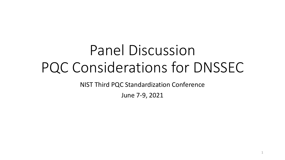# PQC Considerations for DNSSEC Panel Discussion

NIST Third PQC Standardization Conference

June 7-9, 2021

1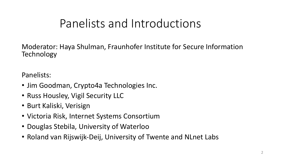# Panelists and Introductions

Moderator: Haya Shulman, Fraunhofer Institute for Secure Information **Technology** 

Panelists:

- Jim Goodman, Crypto4a Technologies Inc.
- Russ Housley, Vigil Security LLC
- Burt Kaliski, Verisign
- Victoria Risk, Internet Systems Consortium
- Douglas Stebila, University of Waterloo
- Roland van Rijswijk-Deij, University of Twente and NLnet Labs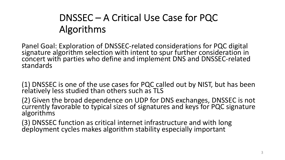# DNSSEC – A Critical Use Case for PQC Algorithms

Panel Goal: Exploration of DNSSEC-related considerations for PQC digital signature algorithm selection with intent to spur further consideration in concert with parties who define and implement DNS and DNSSEC-related standards

(1) DNSSEC is one of the use cases for PQC called out by NIST, but has been relatively less studied than others such as TLS

(2) Given the broad dependence on UDP for DNS exchanges, DNSSEC is not currently favorable to typical sizes of signatures and keys for PQC signature algorithms

(3) DNSSEC function as critical internet infrastructure and with long deployment cycles makes algorithm stability especially important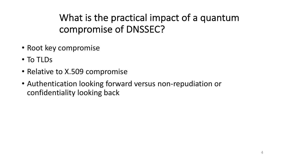What is the practical impact of a quantum compromise of DNSSEC?

- Root key compromise
- To TLDs
- Relative to X.509 compromise
- • Authentication looking forward versus non-repudiation or confidentiality looking back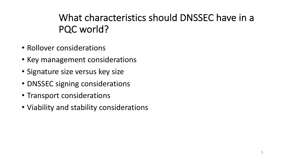### What characteristics should DNSSEC have in a PQC world?

- Rollover considerations
- Key management considerations
- Signature size versus key size
- DNSSEC signing considerations
- Transport considerations
- Viability and stability considerations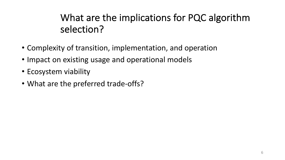# What are the implications for PQC algorithm selection?

- Complexity of transition, implementation, and operation
- Impact on existing usage and operational models
- Ecosystem viability
- What are the preferred trade-offs?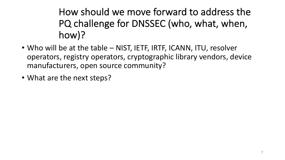How should we move forward to address the PQ challenge for DNSSEC (who, what, when, how)?

- • Who will be at the table NIST, IETF, IRTF, ICANN, ITU, resolver operators, registry operators, cryptographic library vendors, device manufacturers, open source community?
- What are the next steps?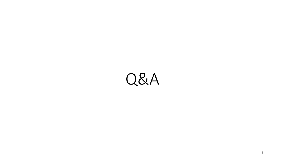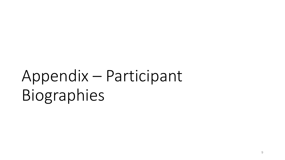# Appendix – Participant Biographies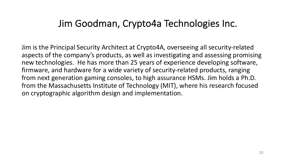#### Jim Goodman, Crypto4a Technologies Inc.

 Jim is the Principal Security Architect at Crypto4A, overseeing all security-related aspects of the company's products, as well as investigating and assessing promising new technologies. He has more than 25 years of experience developing software, firmware, and hardware for a wide variety of security-related products, ranging from next generation gaming consoles, to high assurance HSMs. Jim holds a Ph.D. from the Massachusetts Institute of Technology (MIT), where his research focused on cryptographic algorithm design and implementation.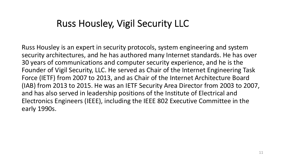#### Russ Housley, Vigil Security LLC

 Russ Housley is an expert in security protocols, system engineering and system security architectures, and he has authored many Internet standards. He has over 30 years of communications and computer security experience, and he is the Founder of Vigil Security, LLC. He served as Chair of the Internet Engineering Task Force (IETF) from 2007 to 2013, and as Chair of the Internet Architecture Board (IAB) from 2013 to 2015. He was an IETF Security Area Director from 2003 to 2007, and has also served in leadership positions of the Institute of Electrical and Electronics Engineers (IEEE), including the IEEE 802 Executive Committee in the early 1990s.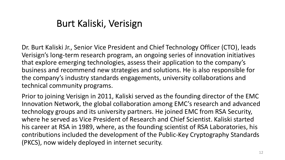#### Burt Kaliski, Verisign

 Dr. Burt Kaliski Jr., Senior Vice President and Chief Technology Officer (CTO), leads Verisign's long-term research program, an ongoing series of innovation initiatives that explore emerging technologies, assess their application to the company's business and recommend new strategies and solutions. He is also responsible for the company's industry standards engagements, university collaborations and technical community programs.

 Prior to joining Verisign in 2011, Kaliski served as the founding director of the EMC Innovation Network, the global collaboration among EMC's research and advanced technology groups and its university partners. He joined EMC from RSA Security, where he served as Vice President of Research and Chief Scientist. Kaliski started his career at RSA in 1989, where, as the founding scientist of RSA Laboratories, his contributions included the development of the Public-Key Cryptography Standards (PKCS), now widely deployed in internet security.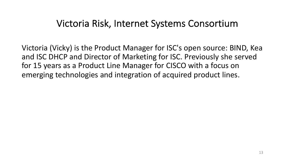#### Victoria Risk, Internet Systems Consortium

 Victoria (Vicky) is the Product Manager for ISC's open source: BIND, Kea and ISC DHCP and Director of Marketing for ISC. Previously she served for 15 years as a Product Line Manager for CISCO with a focus on emerging technologies and integration of acquired product lines.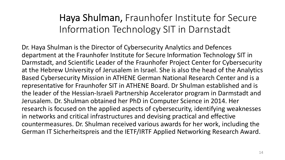Haya Shulman, Fraunhofer Institute for Secure Information Technology SIT in Darnstadt

 Dr. Haya Shulman is the Director of Cybersecurity Analytics and Defences department at the Fraunhofer Institute for Secure Information Technology SIT in Darmstadt, and Scientific Leader of the Fraunhofer Project Center for Cybersecurity at the Hebrew University of Jerusalem in Israel. She is also the head of the Analytics Based Cybersecurity Mission in ATHENE German National Research Center and is a representative for Fraunhofer SIT in ATHENE Board. Dr Shulman established and is the leader of the Hessian-Israeli Partnership Accelerator program in Darmstadt and Jerusalem. Dr. Shulman obtained her PhD in Computer Science in 2014. Her research is focused on the applied aspects of cybersecurity, identifying weaknesses in networks and critical infrastructures and devising practical and effective countermeasures. Dr. Shulman received various awards for her work, including the German IT Sicherheitspreis and the IETF/IRTF Applied Networking Research Award.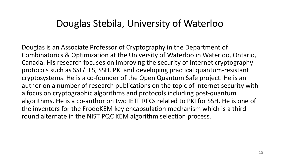#### Douglas Stebila, University of Waterloo

 Douglas is an Associate Professor of Cryptography in the Department of Combinatorics & Optimization at the University of Waterloo in Waterloo, Ontario, Canada. His research focuses on improving the security of Internet cryptography protocols such as SSL/TLS, SSH, PKI and developing practical quantum-resistant cryptosystems. He is a co-founder of the Open Quantum Safe project. He is an author on a number of research publications on the topic of Internet security with a focus on cryptographic algorithms and protocols including post-quantum algorithms. He is a co-author on two IETF RFCs related to PKI for SSH. He is one of the inventors for the FrodoKEM key encapsulation mechanism which is a third-round alternate in the NIST PQC KEM algorithm selection process.